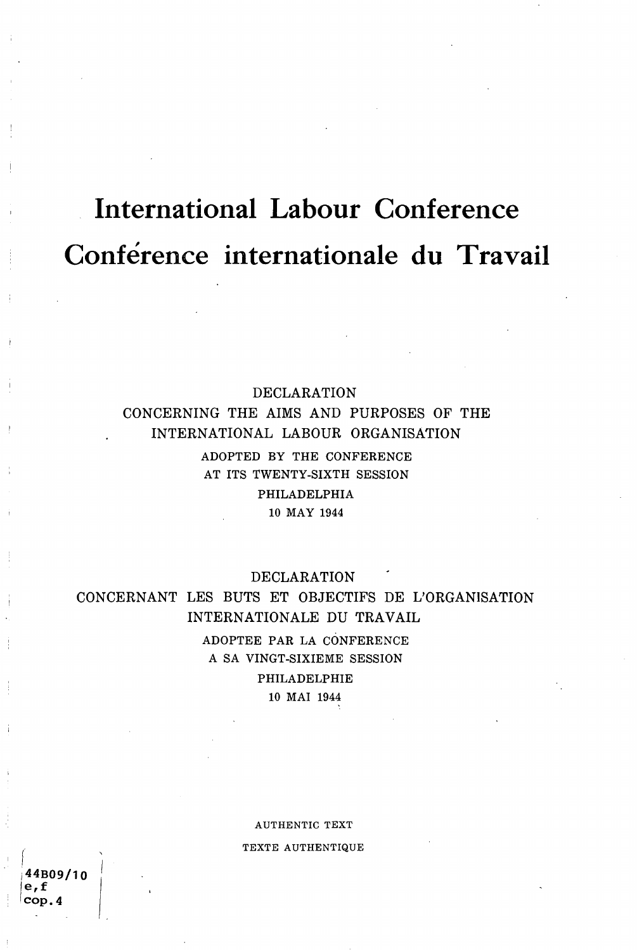# International Labour Conference Conférence internationale du Travail

# DECLARATION CONCERNING THE AIMS AND PURPOSES OF THE INTERNATIONAL LABOUR ORGANISATION

ADOPTED BY THE CONFERENCE AT ITS TWENTY-SIXTH SESSION PHILADELPHIA 10 MAY 1944

DECLARATION CONCERNANT LES BUTS ET OBJECTIFS DE L'ORGANISATION INTERNATIONALE DU TRAVAIL

> ADOPTEE PAR LA CONFERENCE A SA VINGT-SIXIEME SESSION PHILADELPHIE 10 MAI 1944

#### AUTHENTIC TEXT

TEXTE AUTHENTIQUE

44B09/10 e,f cop. 4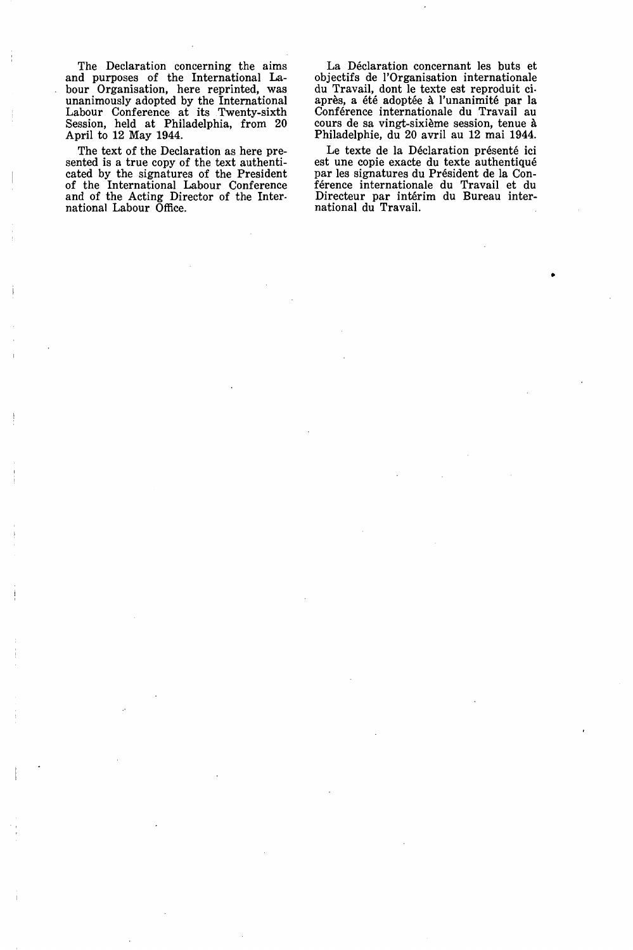The Declaration concerning the aims and purposes of the International Labour Organisation, here reprinted, was unanimously adopted by the International Labour Conference at its Twenty-sixth Session, held at Philadelphia, from 20 April to 12 May 1944.

The text of the Declaration as here presented is a true copy of the text authenticated by the signatures of the President of the International Labour Conference and of the Acting Director of the International Labour Office.

La Déclaration concernant les buts et objectifs de l'Organisation internationale du Travail, dont le texte est reproduit ciaprès, a été adoptée à l'unanimité par la Conférence internationale du Travail au cours de sa vingt-sixieme session, tenue a Philadelphie, du 20 avril au 12 mai 1944.

Le texte de la Déclaration présenté ici est une copie exacte du texte authentiqué par les signatures du President de la Conférence internationale du Travail et du Directeur par intérim du Bureau international du Travail.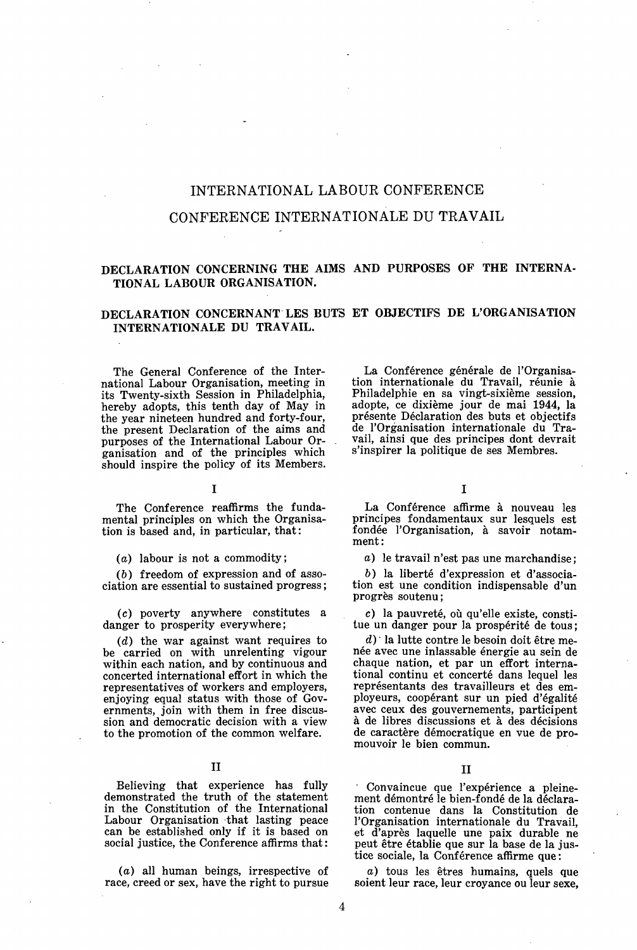# INTERNATIONAL LABOUR CONFERENCE

# CONFERENCE INTERNATIONALE DU TRAVAIL

### **DECLARATION CONCERNING THE AIMS AND PURPOSES OF THE INTERNA-TIONAL LABOUR ORGANISATION.**

## **DECLARATION CONCERN ANT LES BUTS BUTS ET OBJECTIFS DE L'ORGANISATION INTERNATIONALE DU TRAVAIL. INTERNATIONALE DU TRAVAIL.**

The General Conference of the International Labour Organisation, meeting in its Twenty-sixth Session in Philadelphia, hereby adopts, this tenth day of May in the year nineteen hundred and forty-four, the present Declaration of the aims and purposes of the International Labour Organisation and of the principles which should inspire the policy of its Members.

I

The Conference reaffirms the fundamental principles on which the Organisation is based and, in particular, that:

*(a)* labour is not a commodity;

 $(b)$  freedom of expression and of association are essential to sustained progress;

(c) poverty anywhere constitutes a danger to prosperity everywhere;

*(d)* the war against want requires to be carried on with unrelenting vigour within each nation, and by continuous and concerted international effort in which the representatives of workers and employers, enjoying equal status with those of Governments, join with them in free discussion and democratic decision with a view to the promotion of the common welfare.

#### II

Believing that experience has fully demonstrated the truth of the statement in the Constitution of the International Labour Organisation that lasting peace can be established only if it is based on social justice, the Conference affirms that:

*(a)* all human beings, irrespective of race, creed or sex, have the right to pursue

La Conférence générale de l'Organisation internationale du Travail, reunie a Philadelphie en sa vingt-sixieme session, adopte, ce dixieme jour de mai 1944, la presente Declaration des buts et objectifs de l'Organisation internationale du Travail, ainsi que des principes dont devrait s'inspirer la politique de ses Membres.

I

La Conférence affirme à nouveau les principes fondamentaux sur lesquels est fondee l'Organisation, a savoir notamment:

*a)* le travail n'est pas une marchandise;

 $b)$  la liberté d'expression et d'association est une condition indispensable d'un progres soutenu;

 $c)$  la pauvreté, où qu'elle existe, constitue un danger pour la prospérité de tous;

*d)*" la lutte contre le besoin doit etre menée avec une inlassable énergie au sein de chaque nation, et par un effort international continu et concerté dans lequel les représentants des travailleurs et des employeurs, cooperant sur un pied d'egalite avec ceux des gouvernements, participent a de libres discussions et a des decisions de caractère démocratique en vue de promouvoir le bien commun.

Convaincue que l'expérience a pleinement démontré le bien-fondé de la déclaration contenue dans la Constitution de l'Organisation internationale du Travail, et d'apres laquelle une paix durable ne peut être établie que sur la base de la justice sociale, la Conférence affirme que:

*a)* tous les etres humains, quels que soient leur race, leur croyance ou leur sexe,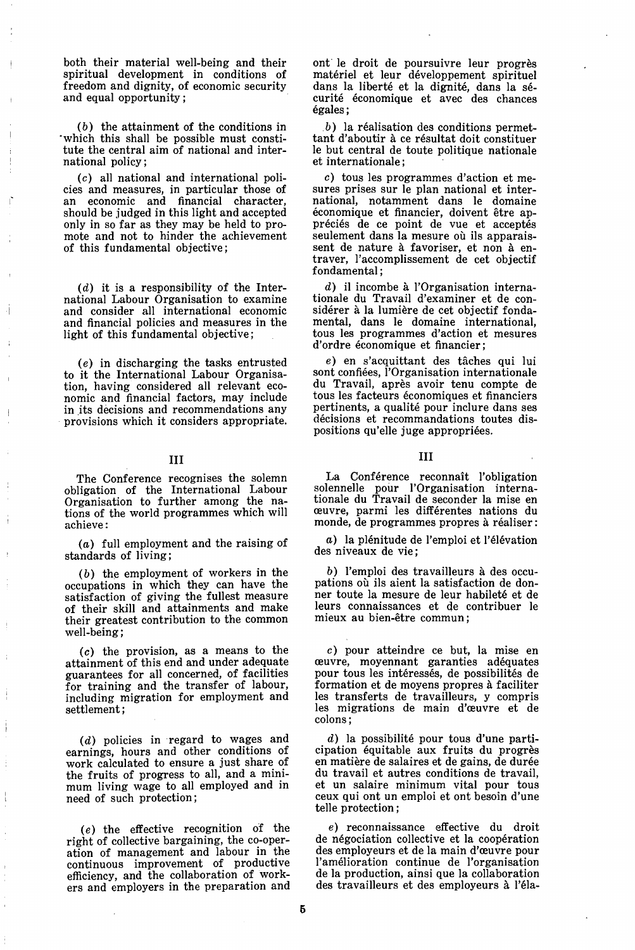both their material well-being and their spiritual development in conditions of freedom and dignity, of economic security and equal opportunity;

(6) the attainment of the conditions in "which this shall be possible must constitute the central aim of national and international policy;

(c) all national and international policies and measures, in particular those of an economic and financial character, should be judged in this light and accepted only in so far as they may be held to promote and not to hinder the achievement of this fundamental objective;

*(d)* it is a responsibility of the International Labour Organisation to examine and consider all international economic and financial policies and measures in the light of this fundamental objective;

(e) in discharging the tasks entrusted to it the International Labour Organisation, having considered all relevant economic and financial factors, may include in its decisions and recommendations any provisions which it considers appropriate.

#### Ill

The Conference recognises the solemn obligation of the International Labour Organisation to further among the nations of the world programmes which will achieve:

*(a)* full employment and the raising of standards of living;

*(b)* the employment of workers in the occupations in which they can have the satisfaction of giving the fullest measure of their skill and attainments and make their greatest contribution to the common well-being;

(c) the provision, as a means to the attainment of this end and under adequate guarantees for all concerned, of facilities for training and the transfer of labour, including migration for employment and settlement;

*(d)* policies in regard to wages and earnings, hours and other conditions of work calculated to ensure a just share of the fruits of progress to all, and a minimum living wage to all employed and in need of such protection;

(e) the effective recognition of the right of collective bargaining, the co-operation of management and labour in the continuous improvement of productive efficiency, and the collaboration of workers and employers in the preparation and

ont le droit de poursuivre leur progres materiel et leur developpement spirituel dans la liberté et la dignité, dans la sécurité économique et avec des chances egales;

*b*) la réalisation des conditions permettant d'aboutir a ce resultat doit constituer le but central de toute politique nationale et internationale;

c) tous les programmes d'action et mesures prises sur le plan national et international, notamment dans le domaine économique et financier, doivent être appréciés de ce point de vue et acceptés seulement dans la mesure où ils apparaissent de nature à favoriser, et non à entraver, l'accomplissement de cet objectif fondamental;

*d)* il incombe a l'Organisation internationale du Travail d'examiner et de considérer à la lumière de cet objectif fondamental, dans le domaine international, tous les programmes d'action et mesures d'ordre économique et financier;

e) en s'acquittant des taches qui lui sont confiees, l'Organisation internationale du Travail, apres avoir tenu compte de tous les facteurs économiques et financiers pertinents, a qualité pour inclure dans ses decisions et recommandations toutes dispositions qu'elle juge appropriees.

#### Ill

La Conférence reconnaît l'obligation solennelle pour l'Organisation internationale du Travail de seconder la mise en ceuvre, parmi les differentes nations du monde, de programmes propres à réaliser:

*a*) la plénitude de l'emploi et l'élévation des niveaux de vie;

*b)* l'emploi des travailleurs a des occupations ou ils aient la satisfaction de donner toute la mesure de leur habileté et de leurs connaissances et de contribuer le mieux au bien-etre commun;

c) pour atteindre ce but, la mise en ceuvre, moyennant garanties adequates pour tous les intéressés, de possibilités de formation et de moyens propres a faciliter les transferts de travailleurs, y compris les migrations de main d'œuvre et de colons;

d) la possibilité pour tous d'une participation equitable aux fruits du progres en matière de salaires et de gains, de durée du travail et autres conditions de travail, et un salaire minimum vital pour tous ceux qui ont un emploi et ont besoin d'une telle protection;

e) reconnaissance effective du droit de négociation collective et la coopération des employeurs et de la main d'œuvre pour l'amelioration continue de l'organisation de la production, ainsi que la collaboration des travailleurs et des employeurs a l'61a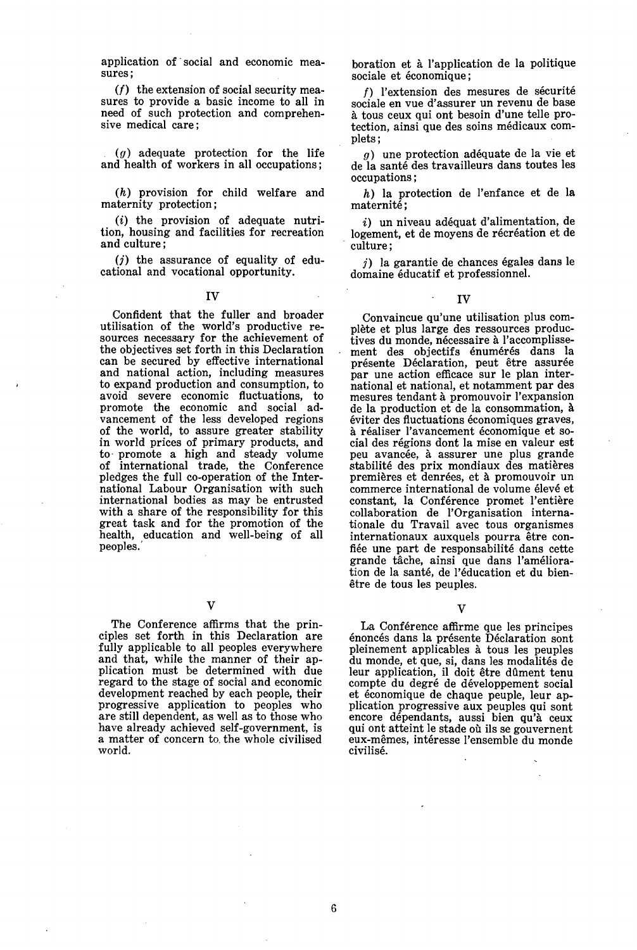application of social and economic measures ;

 $(f)$  the extension of social security measures to provide a basic income to all in need of such protection and comprehensive medical care;

*(g)* adequate protection for the life and health of workers in all occupations;

*(h)* provision for child welfare and maternity protection;

*(i)* the provision of adequate nutrition, housing and facilities for recreation and culture;

 $(i)$  the assurance of equality of educational and vocational opportunity.

#### IV

Confident that the fuller and broader utilisation of the world's productive resources necessary for the achievement of the objectives set forth in this Declaration can be secured by effective international and national action, including measures to expand production and consumption, to avoid severe economic fluctuations, to promote the economic and social advancement of the less developed regions of the world, to assure greater stability in world prices of primary products, and to promote a high and steady volume of international trade, the Conference pledges the full co-operation of the International Labour Organisation with such international bodies as may be entrusted with a share of the responsibility for this great task and for the promotion of the health, education and well-being of all peoples.'

V

The Conference affirms that the principles set forth in this Declaration are fully applicable to all peoples everywhere and that, while the manner of their application must be determined with due regard to the stage of social and economic development reached by each people, their progressive application to peoples who are still dependent, as well as to those who have already achieved self-government, is a matter of concern to. the whole civilised world.

boration et a l'application de la politique sociale et économique;

 $f$ ) l'extension des mesures de sécurité sociale en vue d'assurer un revenu de base a tous ceux qui ont besoin d'une telle protection, ainsi que des soins medicaux complets;

*g)* une protection adequate de la vie et de la sante des travailleurs dans toutes les occupations;

*h)* la protection de l'enfance et de la maternité;

*i*) un niveau adéquat d'alimentation, de logement, et de moyens de récréation et de culture;

*j*) la garantie de chances égales dans le domaine éducatif et professionnel.

#### IV

Convaincue qu'une utilisation plus complete et plus large des ressources productives du monde, nécessaire à l'accomplissement des objectifs énumérés dans la présente Déclaration, peut être assurée par une action efficace sur le plan international et national, et notamment par des mesures tendant a promouvoir l'expansion de la production et de la consommation, a eviter des fluctuations economiques graves, à réaliser l'avancement économique et social des regions dont la mise en valeur est peu avancée, à assurer une plus grande stabilite des prix mondiaux des matieres premières et denrées, et à promouvoir un commerce international de volume élevé et constant, la Conférence promet l'entière collaboration de l'Organisation internationale du Travail avec tous organismes internationaux auxquels pourra etre confiée une part de responsabilité dans cette grande tâche, ainsi que dans l'amélioration de la santé, de l'éducation et du bienetre de tous les peuples.

V

La Conférence affirme que les principes enonces dans la presente Declaration sont pleinement applicables a tous les peuples du monde, et que, si, dans les modalités de leur application, il doit être dûment tenu compte du degré de développement social et économique de chaque peuple, leur application progressive aux peuples qui sont encore dépendants, aussi bien qu'à ceux qui ont atteint le stade où ils se gouvernent eux-memes, interesse l'ensemble du monde civilise.